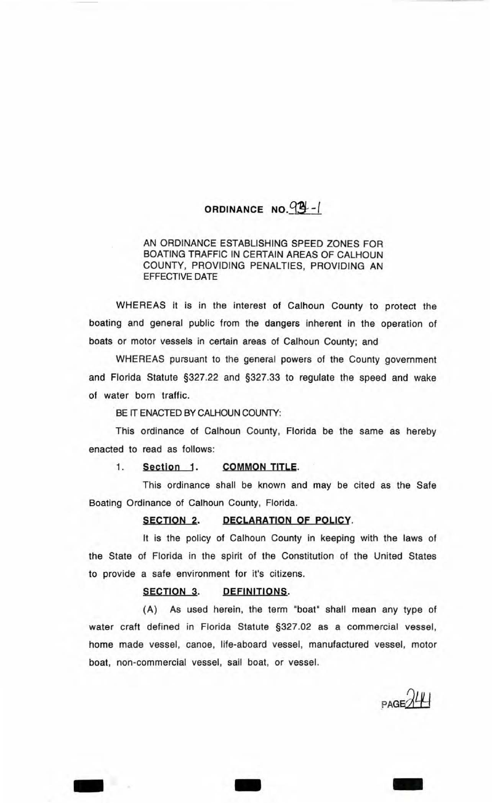# ORDINANCE NO.  $99 - 1$

AN ORDINANCE ESTABLISHING SPEED ZONES FOR BOATING TRAFFIC IN CERTAIN AREAS OF CALHOUN COUNTY, PROVIDING PENALTIES, PROVIDING AN EFFECTIVE DATE

WHEREAS it is in the interest of Calhoun County to protect the boating and general public from the dangers inherent in the operation of boats or motor vessels in certain areas of Calhoun County; and

WHEREAS pursuant to the general powers of the County government and Florida Statute §327.22 and §327.33 to regulate the speed and wake of water born traffic.

BE IT ENACTED BY CALHOUN COUNTY:

This ordinance of Calhoun County, Florida be the same as hereby enacted to read as follows:

1. **Section 1. COMMON TITLE.** 

This ordinance shall be known and may be cited as the Safe Boating Ordinance of Calhoun County, Florida.

**SECTION 2. DECLARATION OF POLICY.** 

It is the policy of Calhoun County in keeping with the laws of the State of Florida in the spirit of the Constitution of the United States to provide a safe environment for it's citizens.

#### **SECTION 3. DEFINITIONS.**

(A) As used herein, the term "boat" shall mean any type of water craft defined in Florida Statute §327.02 as a commercial vessel, home made vessel, canoe, life-aboard vessel, manufactured vessel, motor boat, non-commercial vessel, sail boat, or vessel.

 $-$  -  $-$  -  $-$  -  $-$ 

 $PAGE/2U$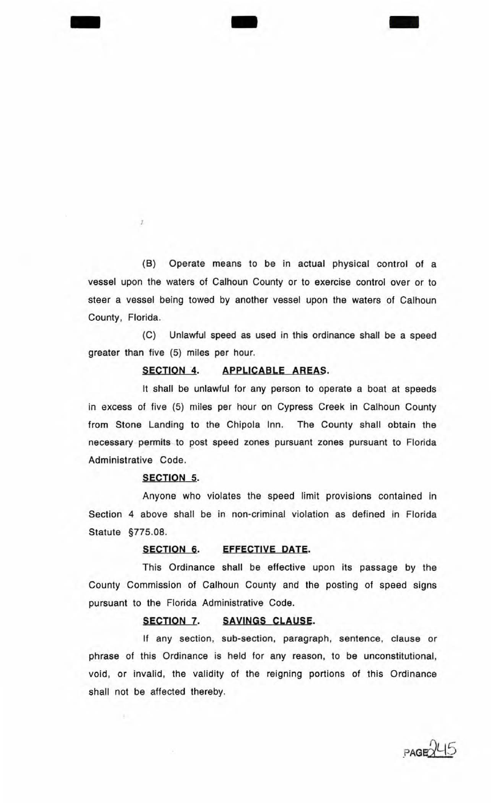(B) Operate means to be in actual physical control of a vessel upon the waters of Calhoun County or to exercise control over or to steer a vessel being towed by another vessel upon the waters of Calhoun County, Florida.

(C) Unlawful speed as used in this ordinance shall be a speed greater than five (5) miles per hour.

#### **SECTION 4. APPLICABLE AREAS.**

 $-$  -  $-$ 

It shall be unlawful for any person to operate a boat at speeds in excess of five (5) miles per hour on Cypress Creek in Calhoun County from Stone Landing to the Chipola Inn. The County shall obtain the necessary permits to post speed zones pursuant zones pursuant to Florida Administrative Code.

# **SECTION 5.**

 $\jmath$ 

Anyone who violates the speed limit provisions contained in Section 4 above shall be in non-criminal violation as defined in Florida Statute §775.08.

# **SECTION 6. EFFECTIVE DATE.**

This Ordinance shall be effective upon its passage by the County Commission of Calhoun County and the posting of speed signs pursuant to the Florida Administrative Code.

#### **SECTION 7. SAVINGS CLAUSE.**

If any section, sub-section, paragraph, sentence, clause or phrase of this Ordinance is held for any reason, to be unconstitutional, void, or invalid, the validity of the reigning portions of this Ordinance shall not be affected thereby.